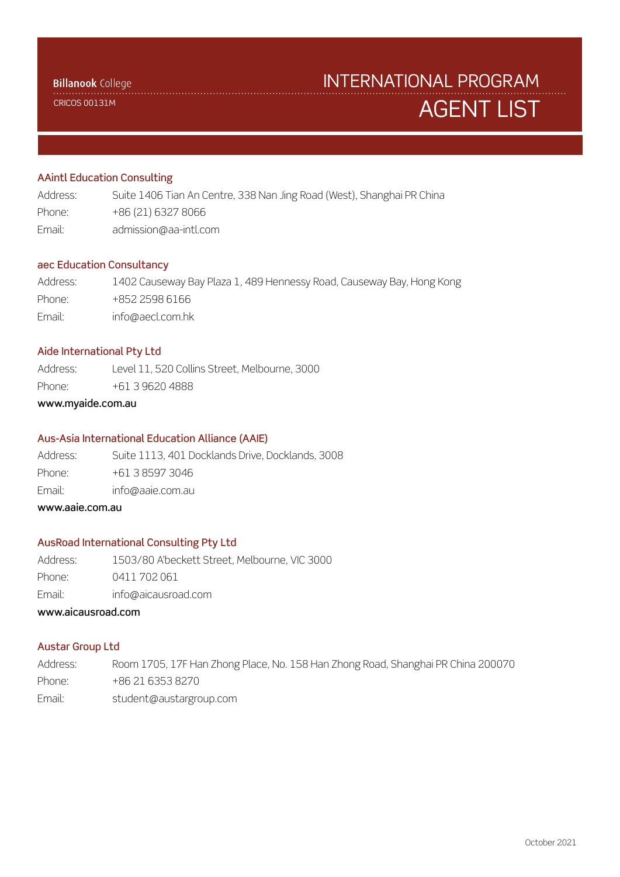CRICOS 00131M

# AGENT LIST INTERNATIONAL PROGRAM

# AAintl Education Consulting

| Address: | Suite 1406 Tian An Centre, 338 Nan Jing Road (West), Shanghai PR China |
|----------|------------------------------------------------------------------------|
| Phone:   | +86 (21) 6327 8066                                                     |
| Email:   | admission@aa-intl.com                                                  |

#### aec Education Consultancy

| Address: | 1402 Causeway Bay Plaza 1, 489 Hennessy Road, Causeway Bay, Hong Kong |
|----------|-----------------------------------------------------------------------|
| Phone:   | +852 2598 6166                                                        |
| Email:   | info@aecl.com.hk                                                      |

#### Aide International Pty Ltd

Address: Level 11, 520 Collins Street, Melbourne, 3000

Phone: +61 3 9620 4888

# www.myaide.com.au

# Aus-Asia International Education Alliance (AAIE)

Address: Suite 1113, 401 Docklands Drive, Docklands, 3008 Phone: +61 3 8597 3046 Email: info@aaie.com.au

www.aaie.com.au

# AusRoad International Consulting Pty Ltd

Address: 1503/80 A'beckett Street, Melbourne, VIC 3000

Phone: 0411 702 061

Email: info@aicausroad.com

# www.aicausroad.com

#### Austar Group Ltd

Address: Room 1705, 17F Han Zhong Place, No. 158 Han Zhong Road, Shanghai PR China 200070 Phone: +86 21 6353 8270 Email: student@austargroup.com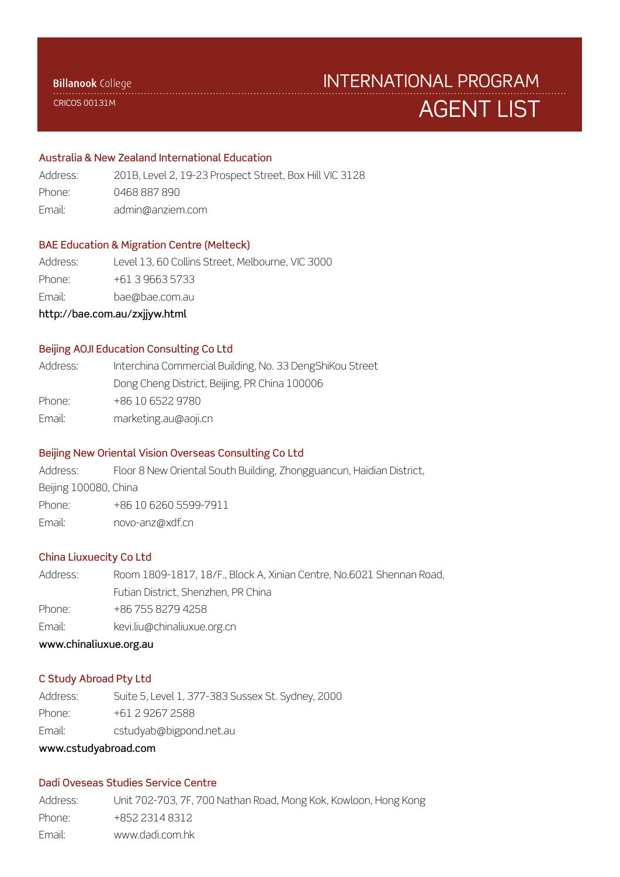CRICOS 00131M

# AGENT LIST INTERNATIONAL PROGRAM

# Australia & New Zealand International Education

| Address: | 201B, Level 2, 19-23 Prospect Street, Box Hill VIC 3128 |
|----------|---------------------------------------------------------|
| Phone:   | 0468 887 890                                            |
| Email:   | admin@anziem.com                                        |

## BAE Education & Migration Centre (Melteck)

Address: Level 13, 60 Collins Street, Melbourne, VIC 3000

Phone: +61 3 9663 5733

Email: bae@bae.com.au

http://bae.com.au/zxjjyw.html

#### Beijing AOJI Education Consulting Co Ltd

| Address: | Interchina Commercial Building, No. 33 DengShiKou Street |
|----------|----------------------------------------------------------|
|          | Dong Cheng District, Beijing, PR China 100006            |
| Phone:   | +86 10 6522 9780                                         |
| Email:   | marketing.au@aoji.cn                                     |
|          |                                                          |

## Beijing New Oriental Vision Overseas Consulting Co Ltd

Address: Floor 8 New Oriental South Building, Zhongguancun, Haidian District,

Beijing 100080, China

Phone: +86 10 6260 5599-7911

Email: novo-anz@xdf.cn

# China Liuxuecity Co Ltd

Address: Room 1809-1817, 18/F., Block A, Xinian Centre, No.6021 Shennan Road, Futian District, Shenzhen, PR China Phone: +86 755 8279 4258 Email: kevi.liu@chinaliuxue.org.cn

www.chinaliuxue.org.au

#### C Study Abroad Pty Ltd

Address: Suite 5, Level 1, 377-383 Sussex St. Sydney, 2000

Phone: +61 2 9267 2588

Email: cstudyab@bigpond.net.au

### www.cstudyabroad.com

### Dadi Oveseas Studies Service Centre

Address: Unit 702-703, 7F, 700 Nathan Road, Mong Kok, Kowloon, Hong Kong Phone: +852 2314 8312 Email: www.dadi.com.hk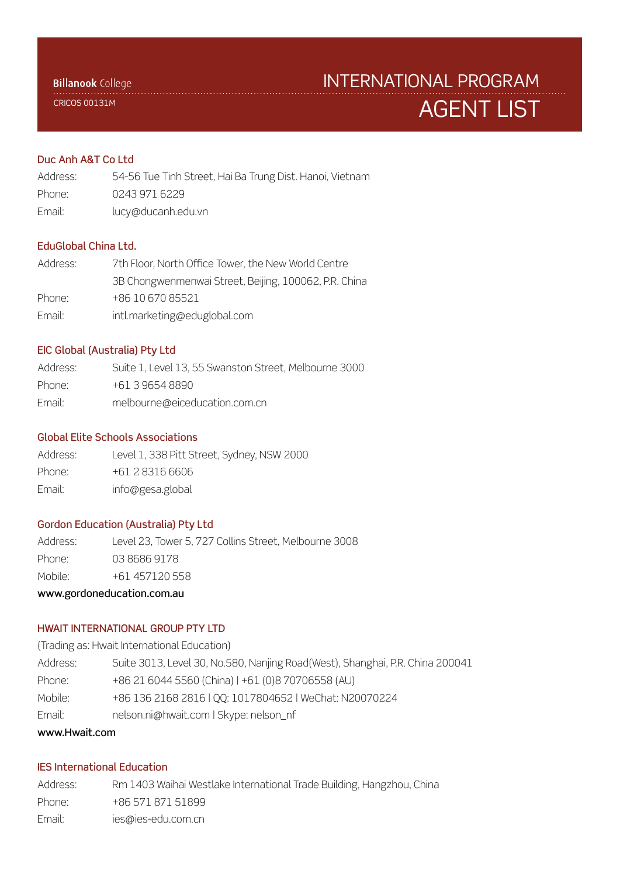CRICOS 00131M

# AGENT LIST INTERNATIONAL PROGRAM

# Duc Anh A&T Co Ltd

Address: 54-56 Tue Tinh Street, Hai Ba Trung Dist. Hanoi, Vietnam Phone: 0243 971 6229 Email: lucy@ducanh.edu.vn

# EduGlobal China Ltd.

| Address: | 7th Floor, North Office Tower, the New World Centre   |
|----------|-------------------------------------------------------|
|          | 3B Chongwenmenwai Street, Beijing, 100062, P.R. China |
| Phone:   | +86 10 670 85521                                      |
| Email:   | intl.marketing@eduglobal.com                          |

#### EIC Global (Australia) Pty Ltd

| Address: | Suite 1, Level 13, 55 Swanston Street, Melbourne 3000 |
|----------|-------------------------------------------------------|
| Phone:   | +61 3 9654 8890                                       |
| Email:   | melbourne@eiceducation.com.cn                         |

#### Global Elite Schools Associations

| Address: | Level 1, 338 Pitt Street, Sydney, NSW 2000 |
|----------|--------------------------------------------|
| Phone:   | $+61283166606$                             |
| Email:   | info@gesa.global                           |

## Gordon Education (Australia) Pty Ltd

Address: Level 23, Tower 5, 727 Collins Street, Melbourne 3008 Phone: 03 8686 9178 Mobile: +61 457120 558

# www.gordoneducation.com.au

#### HWAIT INTERNATIONAL GROUP PTY LTD

(Trading as: Hwait International Education)

| wayny Uwait oom |                                                                               |
|-----------------|-------------------------------------------------------------------------------|
| Email:          | nelson.ni@hwait.com   Skype: nelson_nf                                        |
| Mobile:         | +86 136 2168 2816   QQ: 1017804652   WeChat: N20070224                        |
| Phone:          | +86 21 6044 5560 (China)   +61 (0)8 70706558 (AU)                             |
| Address:        | Suite 3013, Level 30, No.580, Nanjing Road(West), Shanghai, P.R. China 200041 |

# www.Hwait.com

## IES International Education

Address: Rm 1403 Waihai Westlake International Trade Building, Hangzhou, China Phone: +86 571 871 51899 Email: ies@ies-edu.com.cn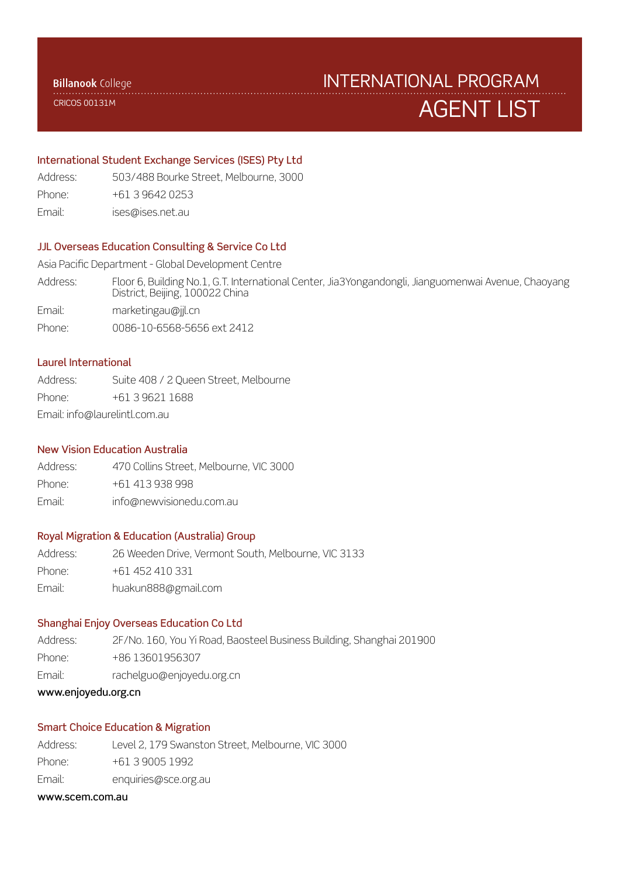CRICOS 00131M

# AGENT LIST INTERNATIONAL PROGRAM

#### International Student Exchange Services (ISES) Pty Ltd

Address: 503/488 Bourke Street, Melbourne, 3000

- Phone: +61 3 9642 0253
- Email: ises@ises.net.au

# JJL Overseas Education Consulting & Service Co Ltd

Asia Pacific Department - Global Development Centre

Address: Floor 6, Building No.1, G.T. International Center, Jia3Yongandongli, Jianguomenwai Avenue, Chaoyang District, Beijing, 100022 China

Email: marketingau@jjl.cn

Phone: 0086-10-6568-5656 ext 2412

# Laurel International

Address: Suite 408 / 2 Queen Street, Melbourne Phone: +61 3 9621 1688 Email: info@laurelintl.com.au

#### New Vision Education Australia

Address: 470 Collins Street, Melbourne, VIC 3000 Phone: +61 413 938 998 Email: info@newvisionedu.com.au

#### Royal Migration & Education (Australia) Group

Address: 26 Weeden Drive, Vermont South, Melbourne, VIC 3133 Phone: +61 452 410 331 Email: huakun888@gmail.com

#### Shanghai Enjoy Overseas Education Co Ltd

Address: 2F/No. 160, You Yi Road, Baosteel Business Building, Shanghai 201900 Phone: +86 13601956307 Email: rachelguo@enjoyedu.org.cn

#### www.enjoyedu.org.cn

# Smart Choice Education & Migration

- Address: Level 2, 179 Swanston Street, Melbourne, VIC 3000 Phone: +61 3 9005 1992
- Email: enquiries@sce.org.au

#### www.scem.com.au